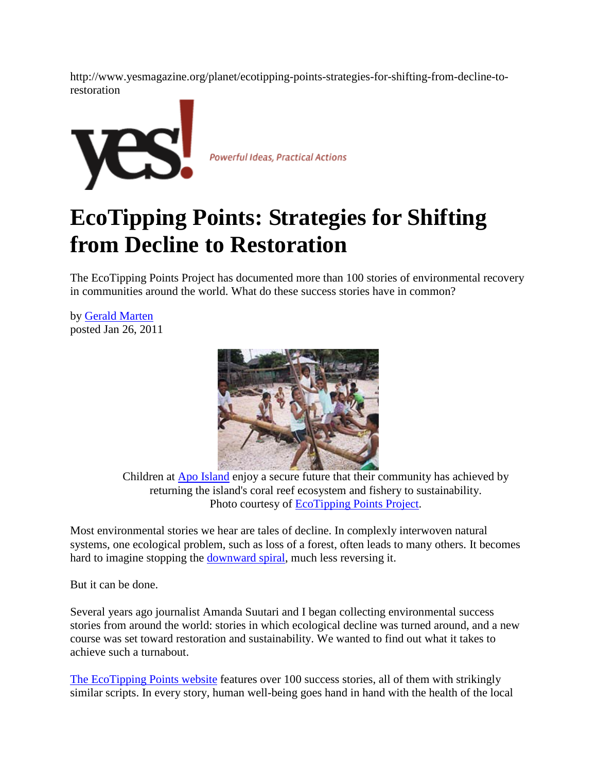http://www.yesmagazine.org/planet/ecotipping-points-strategies-for-shifting-from-decline-torestoration



Powerful Ideas, Practical Actions

# **EcoTipping Points: Strategies for Shifting from Decline to Restoration**

The EcoTipping Points Project has documented more than 100 stories of environmental recovery in communities around the world. What do these success stories have in common?

by [Gerald Marten](http://www.yesmagazine.org/@@also-by?author=Gerald+Marten) posted Jan 26, 2011



Children at [Apo Island](http://www.ecotippingpoints.org/our-stories/indepth/philippines-apo-marine-sanctuary-coral-reef-fishery.html) enjoy a secure future that their community has achieved by returning the island's coral reef ecosystem and fishery to sustainability. Photo courtesy of [EcoTipping Points Project.](http://www.ecotippingpoints.org/our-stories/indepth/philippines-apo-marine-sanctuary-coral-reef-fishery.html)

Most environmental stories we hear are tales of decline. In complexly interwoven natural systems, one ecological problem, such as loss of a forest, often leads to many others. It becomes hard to imagine stopping the [downward spiral,](http://www.yesmagazine.org/issues/climate-solutions/climate-change-feedback-loops-background-reading) much less reversing it.

But it can be done.

Several years ago journalist Amanda Suutari and I began collecting environmental success stories from around the world: stories in which ecological decline was turned around, and a new course was set toward restoration and sustainability. We wanted to find out what it takes to achieve such a turnabout.

[The EcoTipping Points website](http://www.ecotippingpoints.org/) features over 100 success stories, all of them with strikingly similar scripts. In every story, human well-being goes hand in hand with the health of the local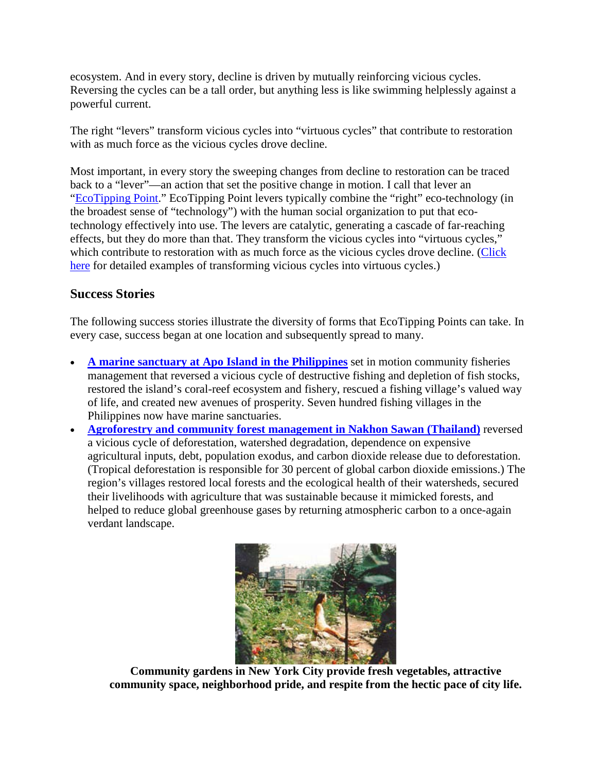ecosystem. And in every story, decline is driven by mutually reinforcing vicious cycles. Reversing the cycles can be a tall order, but anything less is like swimming helplessly against a powerful current.

The right "levers" transform vicious cycles into "virtuous cycles" that contribute to restoration with as much force as the vicious cycles drove decline.

Most important, in every story the sweeping changes from decline to restoration can be traced back to a "lever"—an action that set the positive change in motion. I call that lever an ["EcoTipping Point.](http://www.ecotippingpoints.org/about-etps.html)" EcoTipping Point levers typically combine the "right" eco-technology (in the broadest sense of "technology") with the human social organization to put that ecotechnology effectively into use. The levers are catalytic, generating a cascade of far-reaching effects, but they do more than that. They transform the vicious cycles into "virtuous cycles," which contribute to restoration with as much force as the vicious cycles drove decline. (Click [here](http://www.ecotippingpoints.org/resources/understanding-how-ecotipping-points-work.html) for detailed examples of transforming vicious cycles into virtuous cycles.)

# **Success Stories**

The following success stories illustrate the diversity of forms that EcoTipping Points can take. In every case, success began at one location and subsequently spread to many.

- **[A marine sanctuary at Apo Island in the Philippines](http://ecotippingpoints.org/our-stories/indepth/philippines-apo-marine-sanctuary-coral-reef-fishery.html)** set in motion community fisheries management that reversed a vicious cycle of destructive fishing and depletion of fish stocks, restored the island's coral-reef ecosystem and fishery, rescued a fishing village's valued way of life, and created new avenues of prosperity. Seven hundred fishing villages in the Philippines now have marine sanctuaries.
- **[Agroforestry and community forest management in Nakhon Sawan \(Thailand\)](http://ecotippingpoints.org/our-stories/indepth/thailand-watershed-forest-agroforestry-community-management.html)** reversed a vicious cycle of deforestation, watershed degradation, dependence on expensive agricultural inputs, debt, population exodus, and carbon dioxide release due to deforestation. (Tropical deforestation is responsible for 30 percent of global carbon dioxide emissions.) The region's villages restored local forests and the ecological health of their watersheds, secured their livelihoods with agriculture that was sustainable because it mimicked forests, and helped to reduce global greenhouse gases by returning atmospheric carbon to a once-again verdant landscape.



**Community gardens in New York City provide fresh vegetables, attractive community space, neighborhood pride, and respite from the hectic pace of city life.**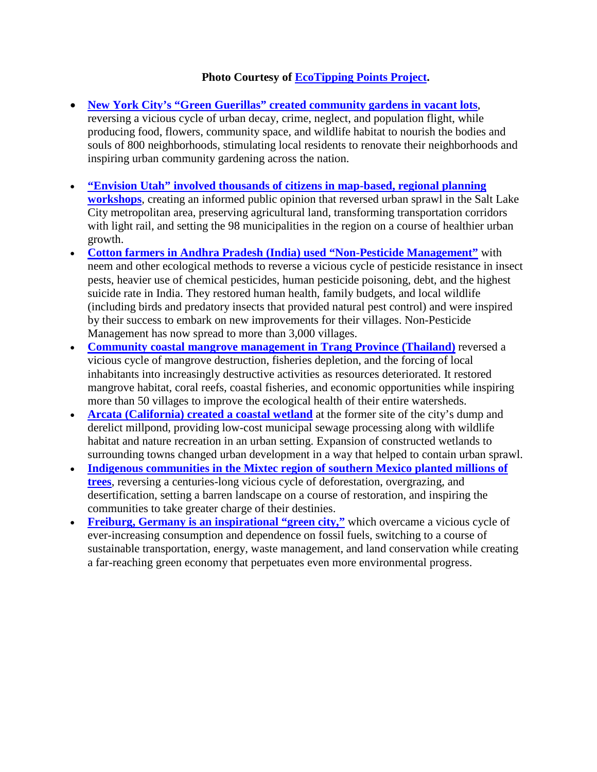## **Photo Courtesy of [EcoTipping Points Project.](http://www.ecotippingpoints.org/our-stories/indepth/usa-new-york-community-garden-urban-renewal.html)**

- **[New York City's "Green Guerillas" created community gardens in vacant lots](http://ecotippingpoints.org/our-stories/indepth/usa-new-york-community-garden-urban-renewal.html)**, reversing a vicious cycle of urban decay, crime, neglect, and population flight, while producing food, flowers, community space, and wildlife habitat to nourish the bodies and souls of 800 neighborhoods, stimulating local residents to renovate their neighborhoods and inspiring urban community gardening across the nation.
- **["Envision Utah" involved thousands of citizens in map-based, regional planning](http://www.ecotippingpoints.org/our-stories/indepth/usa-envision-utah-regional-planning-community-participation.html)  [workshops](http://www.ecotippingpoints.org/our-stories/indepth/usa-envision-utah-regional-planning-community-participation.html)**, creating an informed public opinion that reversed urban sprawl in the Salt Lake City metropolitan area, preserving agricultural land, transforming transportation corridors with light rail, and setting the 98 municipalities in the region on a course of healthier urban growth.
- **[Cotton farmers in Andhra Pradesh \(India\) used "Non-Pesticide Management"](http://ecotippingpoints.org/our-stories/indepth/india-pest-management-nonpesticide-neem.html)** with neem and other ecological methods to reverse a vicious cycle of pesticide resistance in insect pests, heavier use of chemical pesticides, human pesticide poisoning, debt, and the highest suicide rate in India. They restored human health, family budgets, and local wildlife (including birds and predatory insects that provided natural pest control) and were inspired by their success to embark on new improvements for their villages. Non-Pesticide Management has now spread to more than 3,000 villages.
- **[Community coastal mangrove management in Trang Province \(Thailand\)](http://ecotippingpoints.org/our-stories/indepth/thailand-mangrove-restoration-community-management.html)** reversed a vicious cycle of mangrove destruction, fisheries depletion, and the forcing of local inhabitants into increasingly destructive activities as resources deteriorated. It restored mangrove habitat, coral reefs, coastal fisheries, and economic opportunities while inspiring more than 50 villages to improve the ecological health of their entire watersheds.
- **[Arcata \(California\) created a coastal wetland](http://ecotippingpoints.org/our-stories/indepth/usa-california-arcata-constructed-wetland-wastewater.html)** at the former site of the city's dump and derelict millpond, providing low-cost municipal sewage processing along with wildlife habitat and nature recreation in an urban setting. Expansion of constructed wetlands to surrounding towns changed urban development in a way that helped to contain urban sprawl.
- **[Indigenous communities in the Mixtec region of southern Mexico planted millions of](http://www.ecotippingpoints.org/our-stories/indepth/mexico-oaxaca-community-reforestation-mixteca-region.html)  [trees](http://www.ecotippingpoints.org/our-stories/indepth/mexico-oaxaca-community-reforestation-mixteca-region.html)**, reversing a centuries-long vicious cycle of deforestation, overgrazing, and desertification, setting a barren landscape on a course of restoration, and inspiring the communities to take greater charge of their destinies.
- **[Freiburg, Germany is an inspirational "green city,"](http://www.ecotippingpoints.org/our-stories/indepth/germany-freiburg-sustainability-transportation-energy-green-economy.html)** which overcame a vicious cycle of ever-increasing consumption and dependence on fossil fuels, switching to a course of sustainable transportation, energy, waste management, and land conservation while creating a far-reaching green economy that perpetuates even more environmental progress.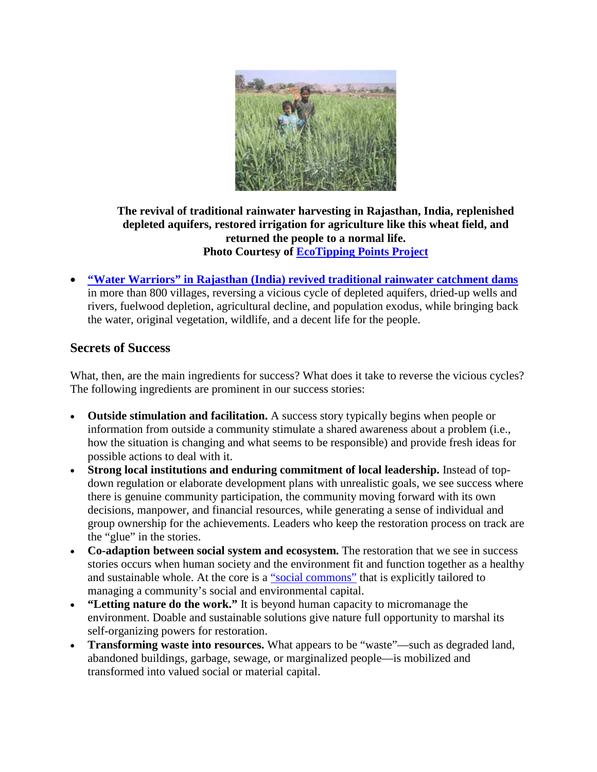

#### **The revival of traditional rainwater harvesting in Rajasthan, India, replenished depleted aquifers, restored irrigation for agriculture like this wheat field, and returned the people to a normal life. Photo Courtesy of [EcoTipping Points Project](http://ecotippingpoints.org/our-stories/indepth/india-rajasthan-rainwater-harvest-restoration-groundwater-johad.html)**

• **["Water Warriors" in Rajasthan \(India\) revived traditional rainwater catchment dams](http://ecotippingpoints.org/our-stories/indepth/india-rajasthan-rainwater-harvest-restoration-groundwater-johad.html)** in more than 800 villages, reversing a vicious cycle of depleted aquifers, dried-up wells and rivers, fuelwood depletion, agricultural decline, and population exodus, while bringing back the water, original vegetation, wildlife, and a decent life for the people.

## **Secrets of Success**

What, then, are the main ingredients for success? What does it take to reverse the vicious cycles? The following ingredients are prominent in our success stories:

- **Outside stimulation and facilitation.** A success story typically begins when people or information from outside a community stimulate a shared awareness about a problem (i.e., how the situation is changing and what seems to be responsible) and provide fresh ideas for possible actions to deal with it.
- **Strong local institutions and enduring commitment of local leadership.** Instead of topdown regulation or elaborate development plans with unrealistic goals, we see success where there is genuine community participation, the community moving forward with its own decisions, manpower, and financial resources, while generating a sense of individual and group ownership for the achievements. Leaders who keep the restoration process on track are the "glue" in the stories.
- **Co-adaption between social system and ecosystem.** The restoration that we see in success stories occurs when human society and the environment fit and function together as a healthy and sustainable whole. At the core is a ["social commons"](http://gerrymarten.com/human-ecology/chapter11.html#p1) that is explicitly tailored to managing a community's social and environmental capital.
- **"Letting nature do the work."** It is beyond human capacity to micromanage the environment. Doable and sustainable solutions give nature full opportunity to marshal its self-organizing powers for restoration.
- **Transforming waste into resources.** What appears to be "waste"—such as degraded land, abandoned buildings, garbage, sewage, or marginalized people—is mobilized and transformed into valued social or material capital.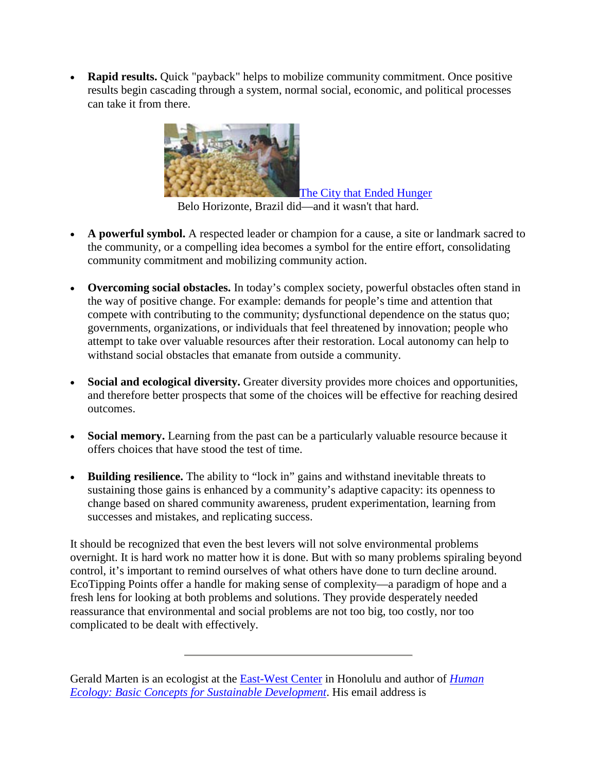• **Rapid results.** Quick "payback" helps to mobilize community commitment. Once positive results begin cascading through a system, normal social, economic, and political processes can take it from there.



[The City that Ended Hunger](http://www.yesmagazine.org/issues/food-for-everyone/the-city-that-ended-hunger) Belo Horizonte, Brazil did—and it wasn't that hard.

- **A powerful symbol.** A respected leader or champion for a cause, a site or landmark sacred to the community, or a compelling idea becomes a symbol for the entire effort, consolidating community commitment and mobilizing community action.
- **Overcoming social obstacles.** In today's complex society, powerful obstacles often stand in the way of positive change. For example: demands for people's time and attention that compete with contributing to the community; dysfunctional dependence on the status quo; governments, organizations, or individuals that feel threatened by innovation; people who attempt to take over valuable resources after their restoration. Local autonomy can help to withstand social obstacles that emanate from outside a community.
- **Social and ecological diversity.** Greater diversity provides more choices and opportunities, and therefore better prospects that some of the choices will be effective for reaching desired outcomes.
- **Social memory.** Learning from the past can be a particularly valuable resource because it offers choices that have stood the test of time.
- **Building resilience.** The ability to "lock in" gains and withstand inevitable threats to sustaining those gains is enhanced by a community's adaptive capacity: its openness to change based on shared community awareness, prudent experimentation, learning from successes and mistakes, and replicating success.

It should be recognized that even the best levers will not solve environmental problems overnight. It is hard work no matter how it is done. But with so many problems spiraling beyond control, it's important to remind ourselves of what others have done to turn decline around. EcoTipping Points offer a handle for making sense of complexity—a paradigm of hope and a fresh lens for looking at both problems and solutions. They provide desperately needed reassurance that environmental and social problems are not too big, too costly, nor too complicated to be dealt with effectively.

Gerald Marten is an ecologist at the [East-West Center](http://www.eastwestcenter.org/) in Honolulu and author of *[Human](http://gerrymarten.com/human-ecology/tableofcontents.html)  [Ecology: Basic Concepts for Sustainable Development](http://gerrymarten.com/human-ecology/tableofcontents.html)*. His email address is